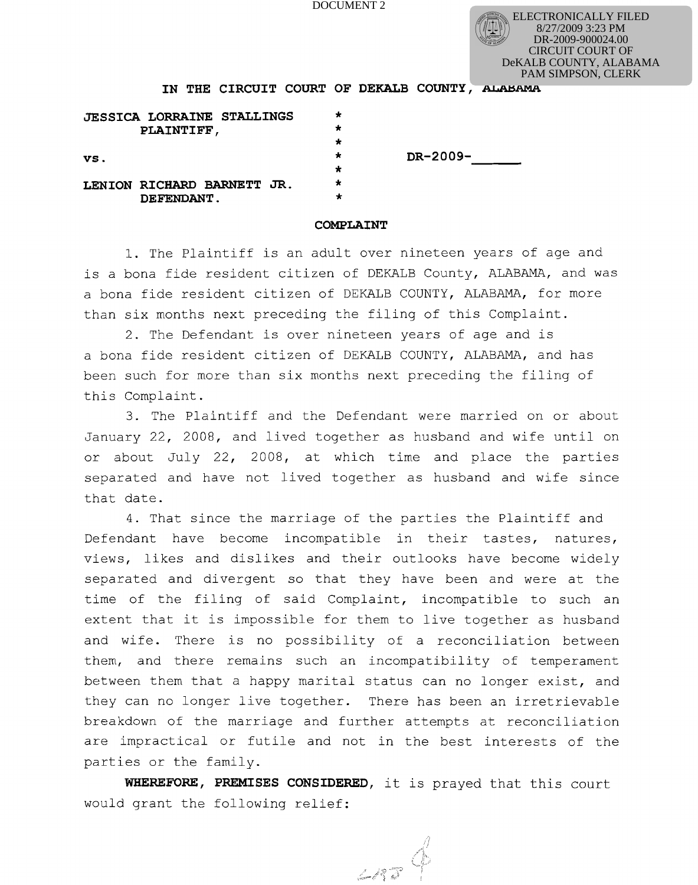DOCUMENT 2

ELECTRONICALLY FILED 8/27/2009 3:23 PM DR-2009-900024.00 CIRCUIT COURT OF DeKALB COUNTY, ALABAMA PAM SIMPSON, CLERK

**IN THE CIRCUIT COURT OF DEKALB COUNTY, ALABAMA** 

|     | <b>JESSICA LORRAINE STALLINGS</b><br><b>PLAINTIFF,</b> |  |          |          |
|-----|--------------------------------------------------------|--|----------|----------|
|     |                                                        |  |          |          |
| VS. |                                                        |  |          | DR-2009- |
|     |                                                        |  |          |          |
|     | LENION RICHARD BARNETT JR.                             |  | $^\star$ |          |
|     | DEFENDANT.                                             |  | $^\star$ |          |

## **COMPLAINT**

**1.** The Plaintiff is an adult over nineteen years of age and is a bona fide resident citizen of DEKALB County, ALABAMA, and was a bona fide resident citizen of DEKALB COUNTY, ALABAMA, for more than six months next preceding the filing of this Complaint.

**2.** The Defendant is over nineteen years of age and is a bona fide resident citizen of DEKALB COUNTY, ALABAMA, and has been such for more than six months next preceding the filing of this Complaint.

**3.** The Plaintiff and the Defendant were married on or about January 22, 2008, and lived together as husband and wife until on or about July 22, 2008, at which time and place the parties separated and have not lived together as husband and wife since that date.

**4.** That since the marriage of the parties the Plaintiff and Defendant have become incompatible in their tastes, natures, views, likes and dislikes and their outlooks have become widely separated and divergent so that they have been and were at the time of the filing of said Complaint, incompatible to such an extent that it is impossible for them to live together as husband and wife. There is no possibility of a reconciliation between them, and there remains such an incompatibility of temperament between them that a happy marital status can no longer exist, and they can no longer live together. There has been an irretrievable breakdown of the marriage and further attempts at reconciliation are impractical or futile and not in the best interests of the parties or the family.

**WHEREFORE, PREMISES CONSIDERED,** it is prayed that this court would grant the following relief:

LAR<sup>Q</sup>